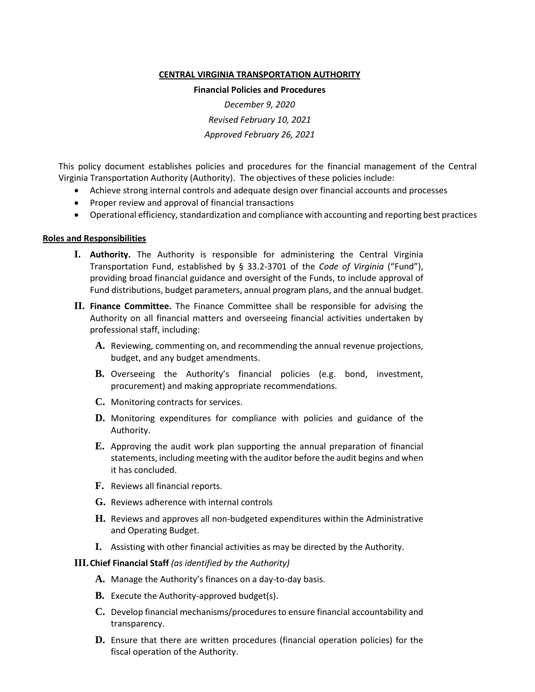#### **CENTRAL VIRGINIA TRANSPORTATION AUTHORITY**

#### **Financial Policies and Procedures**

*December 9, 2020 Revised February 10, 2021 Approved February 26, 2021*

This policy document establishes policies and procedures for the financial management of the Central Virginia Transportation Authority (Authority). The objectives of these policies include:

- Achieve strong internal controls and adequate design over financial accounts and processes
- Proper review and approval of financial transactions
- Operational efficiency, standardization and compliance with accounting and reporting best practices

#### **Roles and Responsibilities**

- **I. Authority.** The Authority is responsible for administering the Central Virginia Transportation Fund, established by § 33.2-3701 of the *Code of Virginia* ("Fund"), providing broad financial guidance and oversight of the Funds, to include approval of Fund distributions, budget parameters, annual program plans, and the annual budget.
- **II. Finance Committee.** The Finance Committee shall be responsible for advising the Authority on all financial matters and overseeing financial activities undertaken by professional staff, including:
	- **A.** Reviewing, commenting on, and recommending the annual revenue projections, budget, and any budget amendments.
	- **B.** Overseeing the Authority's financial policies (e.g. bond, investment, procurement) and making appropriate recommendations.
	- **C.** Monitoring contracts for services.
	- **D.** Monitoring expenditures for compliance with policies and guidance of the Authority.
	- **E.** Approving the audit work plan supporting the annual preparation of financial statements, including meeting with the auditor before the audit begins and when it has concluded.
	- **F.** Reviews all financial reports.
	- **G.** Reviews adherence with internal controls
	- **H.** Reviews and approves all non-budgeted expenditures within the Administrative and Operating Budget.
	- **I.** Assisting with other financial activities as may be directed by the Authority.

#### **III.Chief Financial Staff** *(as identified by the Authority)*

- **A.** Manage the Authority's finances on a day-to-day basis.
- **B.** Execute the Authority-approved budget(s).
- **C.** Develop financial mechanisms/procedures to ensure financial accountability and transparency.
- **D.** Ensure that there are written procedures (financial operation policies) for the fiscal operation of the Authority.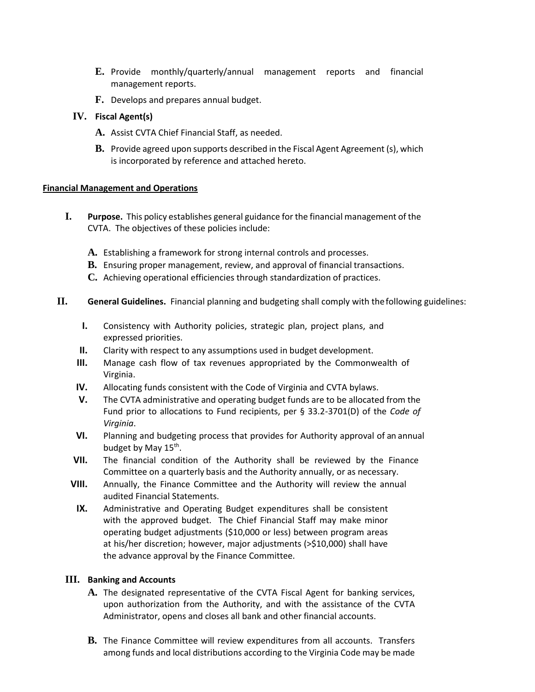- **E.** Provide monthly/quarterly/annual management reports and financial management reports.
- **F.** Develops and prepares annual budget.

# **IV. Fiscal Agent(s)**

- **A.** Assist CVTA Chief Financial Staff, as needed.
- **B.** Provide agreed upon supports described in the Fiscal Agent Agreement (s), which is incorporated by reference and attached hereto.

### **Financial Management and Operations**

- **I. Purpose.** This policy establishes general guidance for the financial management of the CVTA. The objectives of these policies include:
	- **A.** Establishing a framework for strong internal controls and processes.
	- **B.** Ensuring proper management, review, and approval of financial transactions.
	- **C.** Achieving operational efficiencies through standardization of practices.
- **II. General Guidelines.** Financial planning and budgeting shall comply with thefollowing guidelines:
	- **I.** Consistency with Authority policies, strategic plan, project plans, and expressed priorities.
	- **II.** Clarity with respect to any assumptions used in budget development.
	- **III.** Manage cash flow of tax revenues appropriated by the Commonwealth of Virginia.
	- **IV.** Allocating funds consistent with the Code of Virginia and CVTA bylaws.
	- **V.** The CVTA administrative and operating budget funds are to be allocated from the Fund prior to allocations to Fund recipients, per § 33.2-3701(D) of the *Code of Virginia*.
	- **VI.** Planning and budgeting process that provides for Authority approval of an annual budget by May 15<sup>th</sup>.
	- **VII.** The financial condition of the Authority shall be reviewed by the Finance Committee on a quarterly basis and the Authority annually, or as necessary.
	- **VIII.** Annually, the Finance Committee and the Authority will review the annual audited Financial Statements.
	- **IX.** Administrative and Operating Budget expenditures shall be consistent with the approved budget. The Chief Financial Staff may make minor operating budget adjustments (\$10,000 or less) between program areas at his/her discretion; however, major adjustments (>\$10,000) shall have the advance approval by the Finance Committee.

### **III. Banking and Accounts**

- **A.** The designated representative of the CVTA Fiscal Agent for banking services, upon authorization from the Authority, and with the assistance of the CVTA Administrator, opens and closes all bank and other financial accounts.
- **B.** The Finance Committee will review expenditures from all accounts. Transfers among funds and local distributions according to the Virginia Code may be made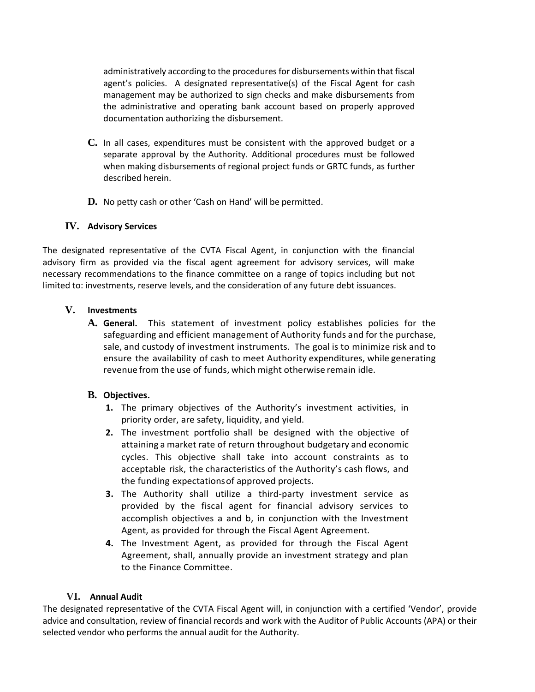administratively according to the procedures for disbursements within that fiscal agent's policies. A designated representative(s) of the Fiscal Agent for cash management may be authorized to sign checks and make disbursements from the administrative and operating bank account based on properly approved documentation authorizing the disbursement.

- **C.** In all cases, expenditures must be consistent with the approved budget or a separate approval by the Authority. Additional procedures must be followed when making disbursements of regional project funds or GRTC funds, as further described herein.
- **D.** No petty cash or other 'Cash on Hand' will be permitted.

### **IV. Advisory Services**

The designated representative of the CVTA Fiscal Agent, in conjunction with the financial advisory firm as provided via the fiscal agent agreement for advisory services, will make necessary recommendations to the finance committee on a range of topics including but not limited to: investments, reserve levels, and the consideration of any future debt issuances.

### **V. Investments**

**A. General.** This statement of investment policy establishes policies for the safeguarding and efficient management of Authority funds and for the purchase, sale, and custody of investment instruments. The goal is to minimize risk and to ensure the availability of cash to meet Authority expenditures, while generating revenue from the use of funds, which might otherwise remain idle.

# **B. Objectives.**

- **1.** The primary objectives of the Authority's investment activities, in priority order, are safety, liquidity, and yield.
- **2.** The investment portfolio shall be designed with the objective of attaining a market rate of return throughout budgetary and economic cycles. This objective shall take into account constraints as to acceptable risk, the characteristics of the Authority's cash flows, and the funding expectationsof approved projects.
- **3.** The Authority shall utilize a third-party investment service as provided by the fiscal agent for financial advisory services to accomplish objectives a and b, in conjunction with the Investment Agent, as provided for through the Fiscal Agent Agreement.
- **4.** The Investment Agent, as provided for through the Fiscal Agent Agreement, shall, annually provide an investment strategy and plan to the Finance Committee.

### **VI. Annual Audit**

The designated representative of the CVTA Fiscal Agent will, in conjunction with a certified 'Vendor', provide advice and consultation, review of financial records and work with the Auditor of Public Accounts (APA) or their selected vendor who performs the annual audit for the Authority.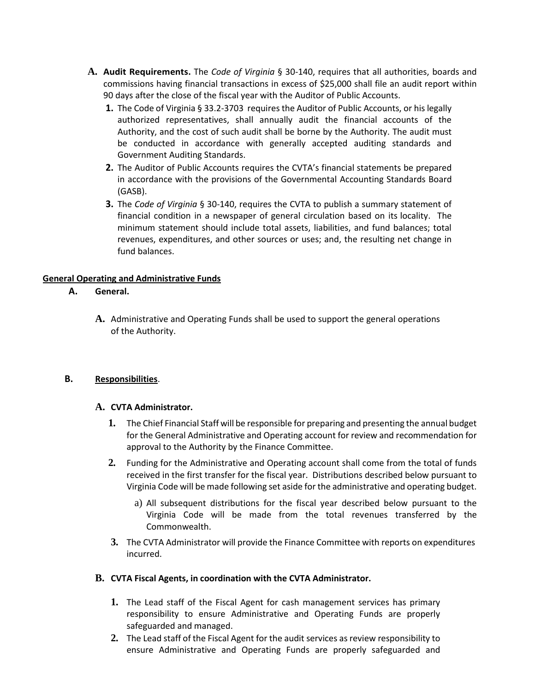- **A. Audit Requirements.** The *Code of Virginia* § 30-140, requires that all authorities, boards and commissions having financial transactions in excess of \$25,000 shall file an audit report within 90 days after the close of the fiscal year with the Auditor of Public Accounts.
	- **1.** The Code of Virginia § 33.2-3703 requires the Auditor of Public Accounts, or his legally authorized representatives, shall annually audit the financial accounts of the Authority, and the cost of such audit shall be borne by the Authority. The audit must be conducted in accordance with generally accepted auditing standards and Government Auditing Standards.
	- **2.** The Auditor of Public Accounts requires the CVTA's financial statements be prepared in accordance with the provisions of the Governmental Accounting Standards Board (GASB).
	- **3.** The *Code of Virginia* § 30-140, requires the CVTA to publish a summary statement of financial condition in a newspaper of general circulation based on its locality. The minimum statement should include total assets, liabilities, and fund balances; total revenues, expenditures, and other sources or uses; and, the resulting net change in fund balances.

### **General Operating and Administrative Funds**

### **A. General.**

**A.** Administrative and Operating Funds shall be used to support the general operations of the Authority.

### **B. Responsibilities**.

### **A. CVTA Administrator.**

- **1.** The Chief Financial Staff will be responsible for preparing and presenting the annual budget for the General Administrative and Operating account for review and recommendation for approval to the Authority by the Finance Committee.
- **2.** Funding for the Administrative and Operating account shall come from the total of funds received in the first transfer for the fiscal year. Distributions described below pursuant to Virginia Code will be made following set aside for the administrative and operating budget.
	- a) All subsequent distributions for the fiscal year described below pursuant to the Virginia Code will be made from the total revenues transferred by the Commonwealth.
- **3.** The CVTA Administrator will provide the Finance Committee with reports on expenditures incurred.

### **B. CVTA Fiscal Agents, in coordination with the CVTA Administrator.**

- **1.** The Lead staff of the Fiscal Agent for cash management services has primary responsibility to ensure Administrative and Operating Funds are properly safeguarded and managed.
- **2.** The Lead staff of the Fiscal Agent for the audit services as review responsibility to ensure Administrative and Operating Funds are properly safeguarded and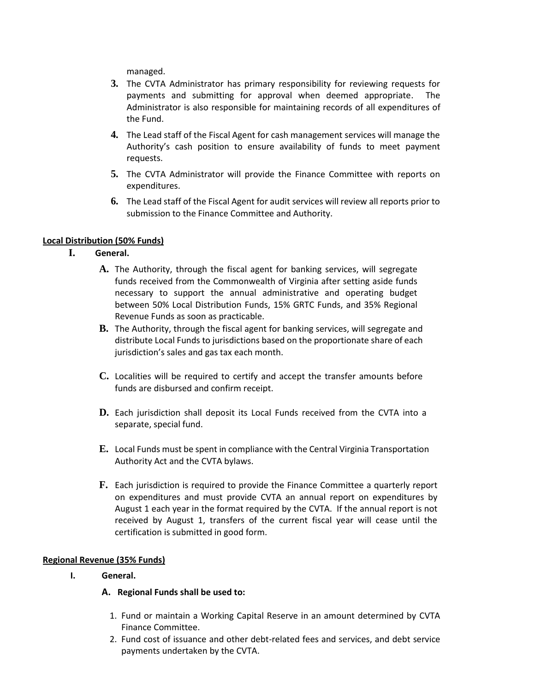managed.

- **3.** The CVTA Administrator has primary responsibility for reviewing requests for payments and submitting for approval when deemed appropriate. The Administrator is also responsible for maintaining records of all expenditures of the Fund.
- **4.** The Lead staff of the Fiscal Agent for cash management services will manage the Authority's cash position to ensure availability of funds to meet payment requests.
- **5.** The CVTA Administrator will provide the Finance Committee with reports on expenditures.
- **6.** The Lead staff of the Fiscal Agent for audit services will review all reports prior to submission to the Finance Committee and Authority.

# **Local Distribution (50% Funds)**

- **I. General.**
	- **A.** The Authority, through the fiscal agent for banking services, will segregate funds received from the Commonwealth of Virginia after setting aside funds necessary to support the annual administrative and operating budget between 50% Local Distribution Funds, 15% GRTC Funds, and 35% Regional Revenue Funds as soon as practicable.
	- **B.** The Authority, through the fiscal agent for banking services, will segregate and distribute Local Funds to jurisdictions based on the proportionate share of each jurisdiction's sales and gas tax each month.
	- **C.** Localities will be required to certify and accept the transfer amounts before funds are disbursed and confirm receipt.
	- **D.** Each jurisdiction shall deposit its Local Funds received from the CVTA into a separate, special fund.
	- **E.** Local Funds must be spent in compliance with the Central Virginia Transportation Authority Act and the CVTA bylaws.
	- **F.** Each jurisdiction is required to provide the Finance Committee a quarterly report on expenditures and must provide CVTA an annual report on expenditures by August 1 each year in the format required by the CVTA. If the annual report is not received by August 1, transfers of the current fiscal year will cease until the certification is submitted in good form.

# **Regional Revenue (35% Funds)**

# **I. General.**

# **A. Regional Funds shall be used to:**

- 1. Fund or maintain a Working Capital Reserve in an amount determined by CVTA Finance Committee.
- 2. Fund cost of issuance and other debt-related fees and services, and debt service payments undertaken by the CVTA.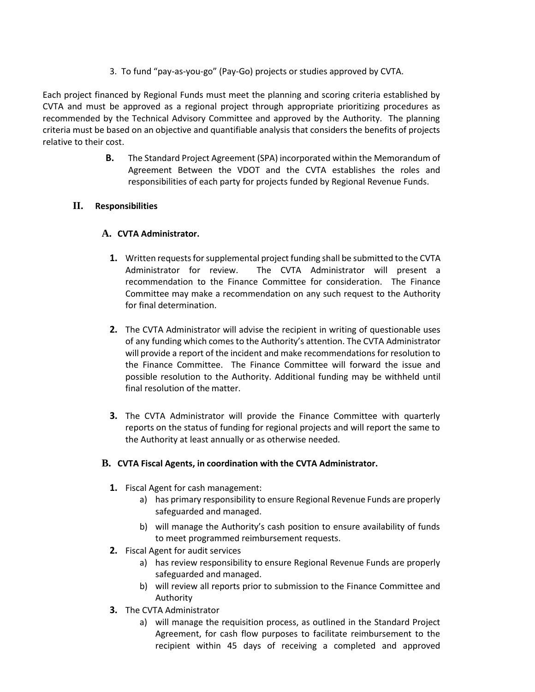3. To fund "pay-as-you-go" (Pay-Go) projects or studies approved by CVTA.

Each project financed by Regional Funds must meet the planning and scoring criteria established by CVTA and must be approved as a regional project through appropriate prioritizing procedures as recommended by the Technical Advisory Committee and approved by the Authority. The planning criteria must be based on an objective and quantifiable analysis that considers the benefits of projects relative to their cost.

> **B.** The Standard Project Agreement (SPA) incorporated within the Memorandum of Agreement Between the VDOT and the CVTA establishes the roles and responsibilities of each party for projects funded by Regional Revenue Funds.

### **II. Responsibilities**

### **A. CVTA Administrator.**

- **1.** Written requests for supplemental project funding shall be submitted to the CVTA Administrator for review. The CVTA Administrator will present a recommendation to the Finance Committee for consideration. The Finance Committee may make a recommendation on any such request to the Authority for final determination.
- **2.** The CVTA Administrator will advise the recipient in writing of questionable uses of any funding which comes to the Authority's attention. The CVTA Administrator will provide a report of the incident and make recommendations for resolution to the Finance Committee. The Finance Committee will forward the issue and possible resolution to the Authority. Additional funding may be withheld until final resolution of the matter.
- **3.** The CVTA Administrator will provide the Finance Committee with quarterly reports on the status of funding for regional projects and will report the same to the Authority at least annually or as otherwise needed.

### **B. CVTA Fiscal Agents, in coordination with the CVTA Administrator.**

- **1.** Fiscal Agent for cash management:
	- a) has primary responsibility to ensure Regional Revenue Funds are properly safeguarded and managed.
	- b) will manage the Authority's cash position to ensure availability of funds to meet programmed reimbursement requests.
- **2.** Fiscal Agent for audit services
	- a) has review responsibility to ensure Regional Revenue Funds are properly safeguarded and managed.
	- b) will review all reports prior to submission to the Finance Committee and Authority
- **3.** The CVTA Administrator
	- a) will manage the requisition process, as outlined in the Standard Project Agreement, for cash flow purposes to facilitate reimbursement to the recipient within 45 days of receiving a completed and approved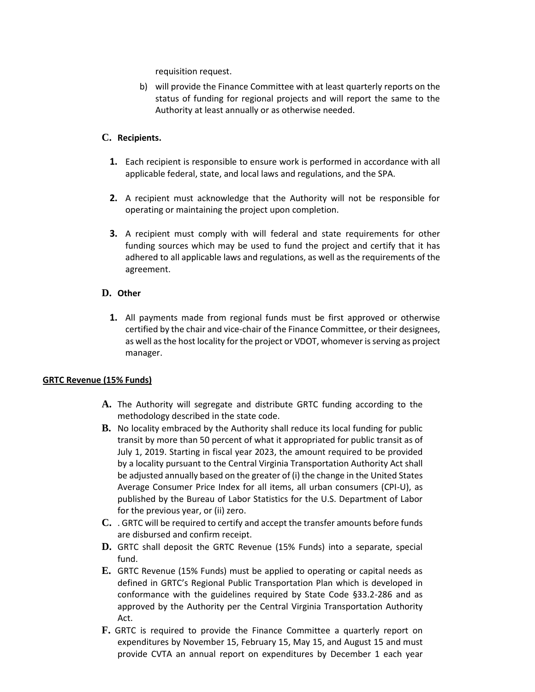requisition request.

b) will provide the Finance Committee with at least quarterly reports on the status of funding for regional projects and will report the same to the Authority at least annually or as otherwise needed.

## **C. Recipients.**

- **1.** Each recipient is responsible to ensure work is performed in accordance with all applicable federal, state, and local laws and regulations, and the SPA.
- **2.** A recipient must acknowledge that the Authority will not be responsible for operating or maintaining the project upon completion.
- **3.** A recipient must comply with will federal and state requirements for other funding sources which may be used to fund the project and certify that it has adhered to all applicable laws and regulations, as well as the requirements of the agreement.

# **D. Other**

**1.** All payments made from regional funds must be first approved or otherwise certified by the chair and vice-chair of the Finance Committee, or their designees, as well as the host locality for the project or VDOT, whomever is serving as project manager.

# **GRTC Revenue (15% Funds)**

- **A.** The Authority will segregate and distribute GRTC funding according to the methodology described in the state code.
- **B.** No locality embraced by the Authority shall reduce its local funding for public transit by more than 50 percent of what it appropriated for public transit as of July 1, 2019. Starting in fiscal year 2023, the amount required to be provided by a locality pursuant to the Central Virginia Transportation Authority Act shall be adjusted annually based on the greater of (i) the change in the United States Average Consumer Price Index for all items, all urban consumers (CPI-U), as published by the Bureau of Labor Statistics for the U.S. Department of Labor for the previous year, or (ii) zero.
- **C.** . GRTC will be required to certify and accept the transfer amounts before funds are disbursed and confirm receipt.
- **D.** GRTC shall deposit the GRTC Revenue (15% Funds) into a separate, special fund.
- **E.** GRTC Revenue (15% Funds) must be applied to operating or capital needs as defined in GRTC's Regional Public Transportation Plan which is developed in conformance with the guidelines required by State Code §33.2-286 and as approved by the Authority per the Central Virginia Transportation Authority Act.
- **F.** GRTC is required to provide the Finance Committee a quarterly report on expenditures by November 15, February 15, May 15, and August 15 and must provide CVTA an annual report on expenditures by December 1 each year